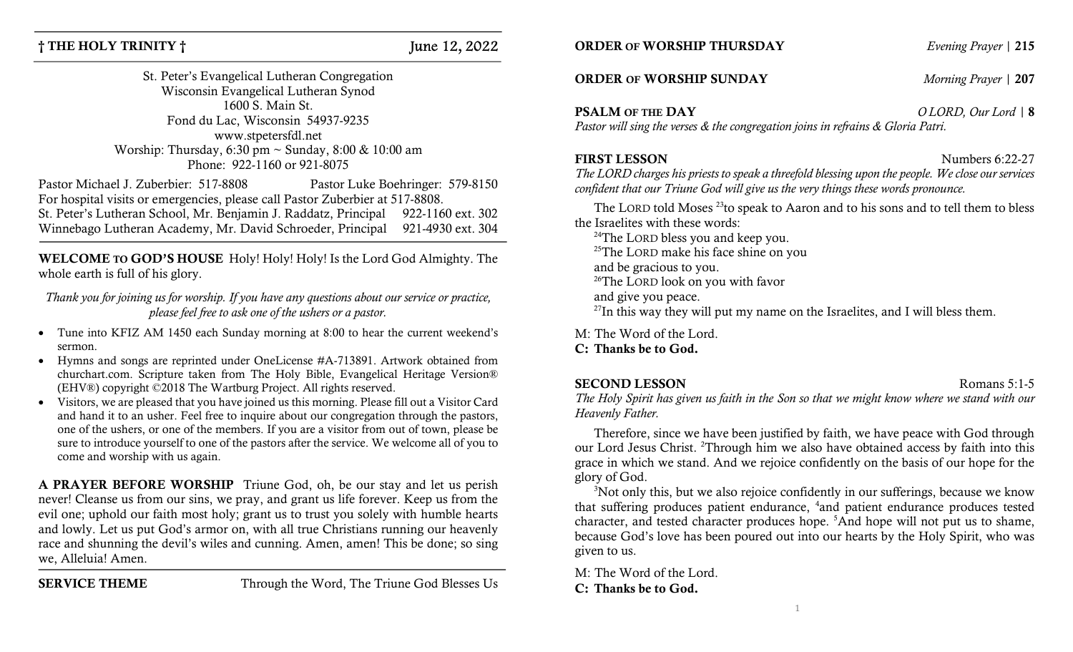## $\dagger$  THE HOLY TRINITY  $\dagger$  June 12, 2022

St. Peter's Evangelical Lutheran Congregation Wisconsin Evangelical Lutheran Synod 1600 S. Main St. Fond du Lac, Wisconsin 54937-9235 www.stpetersfdl.net Worship: Thursday, 6:30 pm ~ Sunday, 8:00 & 10:00 am Phone: 922-1160 or 921-8075

Pastor Michael J. Zuberbier: 517-8808 Pastor Luke Boehringer: 579-8150 For hospital visits or emergencies, please call Pastor Zuberbier at 517-8808. St. Peter's Lutheran School, Mr. Benjamin J. Raddatz, Principal 922-1160 ext. 302 Winnebago Lutheran Academy, Mr. David Schroeder, Principal 921-4930 ext. 304

WELCOME TO GOD'S HOUSE Holy! Holy! Holy! Is the Lord God Almighty. The whole earth is full of his glory.

Thank you for joining us for worship. If you have any questions about our service or practice, please feel free to ask one of the ushers or a pastor.

- Tune into KFIZ AM 1450 each Sunday morning at 8:00 to hear the current weekend's sermon.
- Hymns and songs are reprinted under OneLicense #A-713891. Artwork obtained from churchart.com. Scripture taken from The Holy Bible, Evangelical Heritage Version® (EHV®) copyright ©2018 The Wartburg Project. All rights reserved.
- Visitors, we are pleased that you have joined us this morning. Please fill out a Visitor Card and hand it to an usher. Feel free to inquire about our congregation through the pastors, one of the ushers, or one of the members. If you are a visitor from out of town, please be sure to introduce yourself to one of the pastors after the service. We welcome all of you to come and worship with us again.

A PRAYER BEFORE WORSHIP Triune God, oh, be our stay and let us perish never! Cleanse us from our sins, we pray, and grant us life forever. Keep us from the evil one; uphold our faith most holy; grant us to trust you solely with humble hearts and lowly. Let us put God's armor on, with all true Christians running our heavenly race and shunning the devil's wiles and cunning. Amen, amen! This be done; so sing we, Alleluia! Amen.

SERVICE THEME Through the Word, The Triune God Blesses Us

**ORDER OF WORSHIP THURSDAY** Evening Prayer | 215

### **ORDER OF WORSHIP SUNDAY** *Morning Prayer* | 207

**PSALM OF THE DAY**  $OLORD$  O LORD, Our Lord | 8

Pastor will sing the verses & the congregation joins in refrains & Gloria Patri.

### FIRST LESSON Numbers 6:22-27

The LORD charges his priests to speak a threefold blessing upon the people. We close our services confident that our Triune God will give us the very things these words pronounce.

The LORD told Moses<sup>23</sup>to speak to Aaron and to his sons and to tell them to bless the Israelites with these words:

<sup>24</sup>The LORD bless you and keep you. <sup>25</sup>The LORD make his face shine on you and be gracious to you. <sup>26</sup>The LORD look on you with favor

and give you peace.

 $^{27}$ In this way they will put my name on the Israelites, and I will bless them.

M: The Word of the Lord.

### C: Thanks be to God.

### SECOND LESSON Romans 5:1-5

The Holy Spirit has given us faith in the Son so that we might know where we stand with our Heavenly Father.

Therefore, since we have been justified by faith, we have peace with God through our Lord Jesus Christ. <sup>2</sup>Through him we also have obtained access by faith into this grace in which we stand. And we rejoice confidently on the basis of our hope for the glory of God.

<sup>3</sup>Not only this, but we also rejoice confidently in our sufferings, because we know that suffering produces patient endurance, <sup>4</sup>and patient endurance produces tested character, and tested character produces hope. <sup>5</sup>And hope will not put us to shame, because God's love has been poured out into our hearts by the Holy Spirit, who was given to us.

M: The Word of the Lord. C: Thanks be to God.